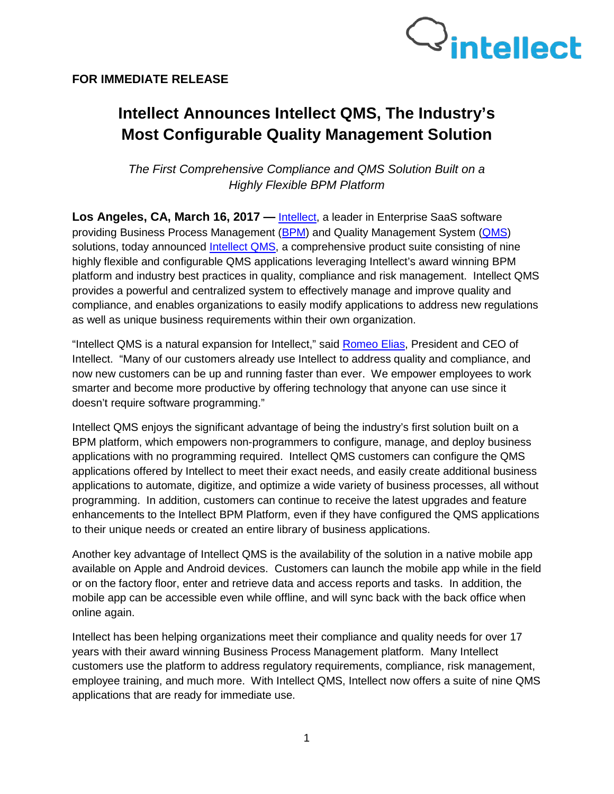



# **Intellect Announces Intellect QMS, The Industry's Most Configurable Quality Management Solution**

*The First Comprehensive Compliance and QMS Solution Built on a Highly Flexible BPM Platform*

Los Angeles, CA, March 16, 2017 — [Intellect,](http://www.intellect.com/) a leader in Enterprise SaaS software providing Business Process Management [\(BPM\)](http://www.intellect.com/intellect-8-bpm-platform-app) and Quality Management System [\(QMS\)](http://www.intellect.com/quality-management-software) solutions, today announced [Intellect QMS,](http://www.intellect.com/quality-management-software) a comprehensive product suite consisting of nine highly flexible and configurable QMS applications leveraging Intellect's award winning BPM platform and industry best practices in quality, compliance and risk management. Intellect QMS provides a powerful and centralized system to effectively manage and improve quality and compliance, and enables organizations to easily modify applications to address new regulations as well as unique business requirements within their own organization.

"Intellect QMS is a natural expansion for Intellect," said [Romeo Elias,](http://www.intellect.com/workflow-business-process-management-software-about-us/our-team/) President and CEO of Intellect. "Many of our customers already use Intellect to address quality and compliance, and now new customers can be up and running faster than ever. We empower employees to work smarter and become more productive by offering technology that anyone can use since it doesn't require software programming."

Intellect QMS enjoys the significant advantage of being the industry's first solution built on a BPM platform, which empowers non-programmers to configure, manage, and deploy business applications with no programming required. Intellect QMS customers can configure the QMS applications offered by Intellect to meet their exact needs, and easily create additional business applications to automate, digitize, and optimize a wide variety of business processes, all without programming. In addition, customers can continue to receive the latest upgrades and feature enhancements to the Intellect BPM Platform, even if they have configured the QMS applications to their unique needs or created an entire library of business applications.

Another key advantage of Intellect QMS is the availability of the solution in a native mobile app available on Apple and Android devices. Customers can launch the mobile app while in the field or on the factory floor, enter and retrieve data and access reports and tasks. In addition, the mobile app can be accessible even while offline, and will sync back with the back office when online again.

Intellect has been helping organizations meet their compliance and quality needs for over 17 years with their award winning Business Process Management platform. Many Intellect customers use the platform to address regulatory requirements, compliance, risk management, employee training, and much more. With Intellect QMS, Intellect now offers a suite of nine QMS applications that are ready for immediate use.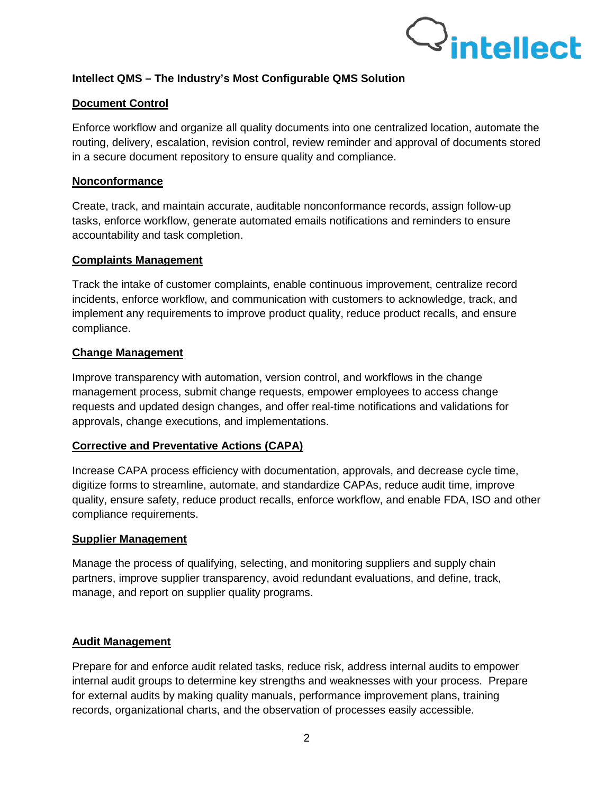

## **Intellect QMS – The Industry's Most Configurable QMS Solution**

## **Document Control**

Enforce workflow and organize all quality documents into one centralized location, automate the routing, delivery, escalation, revision control, review reminder and approval of documents stored in a secure document repository to ensure quality and compliance.

## **Nonconformance**

Create, track, and maintain accurate, auditable nonconformance records, assign follow-up tasks, enforce workflow, generate automated emails notifications and reminders to ensure accountability and task completion.

#### **Complaints Management**

Track the intake of customer complaints, enable continuous improvement, centralize record incidents, enforce workflow, and communication with customers to acknowledge, track, and implement any requirements to improve product quality, reduce product recalls, and ensure compliance.

## **Change Management**

Improve transparency with automation, version control, and workflows in the change management process, submit change requests, empower employees to access change requests and updated design changes, and offer real-time notifications and validations for approvals, change executions, and implementations.

## **Corrective and Preventative Actions (CAPA)**

Increase CAPA process efficiency with documentation, approvals, and decrease cycle time, digitize forms to streamline, automate, and standardize CAPAs, reduce audit time, improve quality, ensure safety, reduce product recalls, enforce workflow, and enable FDA, ISO and other compliance requirements.

#### **Supplier Management**

Manage the process of qualifying, selecting, and monitoring suppliers and supply chain partners, improve supplier transparency, avoid redundant evaluations, and define, track, manage, and report on supplier quality programs.

## **Audit Management**

Prepare for and enforce audit related tasks, reduce risk, address internal audits to empower internal audit groups to determine key strengths and weaknesses with your process. Prepare for external audits by making quality manuals, performance improvement plans, training records, organizational charts, and the observation of processes easily accessible.